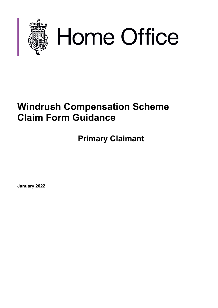

# Home Office

# **Windrush Compensation Scheme Claim Form Guidance**

**Primary Claimant**

**January 2022**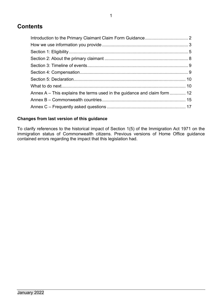# **Contents**

| Annex A – This explains the terms used in the guidance and claim form  12 |  |
|---------------------------------------------------------------------------|--|
|                                                                           |  |
|                                                                           |  |

# **Changes from last version of this guidance**

<span id="page-1-0"></span>To clarify references to the historical impact of Section 1(5) of the Immigration Act 1971 on the immigration status of Commonwealth citizens. Previous versions of Home Office guidance contained errors regarding the impact that this legislation had.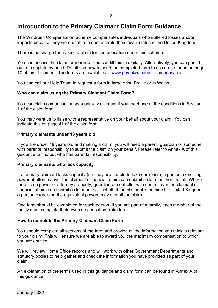# **Introduction to the Primary Claimant Claim Form Guidance**

The Windrush Compensation Scheme compensates individuals who suffered losses and/or impacts because they were unable to demonstrate their lawful status in the United Kingdom.

There is no charge for making a claim for compensation under this scheme.

You can access the claim form online. You can fill this in digitally. Alternatively, you can print it out to complete by hand. Details on how to send the completed form to us can be found on page 10 of this document. The forms are available at: [www.gov.uk/windrush-compensation](http://www.gov.uk/windrush-compensation)

You can call our Help Team to request a form in large print, Braille or in Welsh.

# **Who can claim using the Primary Claimant Claim Form?**

You can claim compensation as a primary claimant if you meet one of the conditions in Section 1 of the claim form.

You may want us to liaise with a representative on your behalf about your claim. You can indicate this on page 41 of the claim form.

### **Primary claimants under 18 years old**

If you are under 18 years old and making a claim, you will need a parent, guardian or someone with parental responsibility to submit the claim on your behalf. Please refer to Annex A of this guidance to find out who has parental responsibility.

### **Primary claimants who lack capacity**

If a primary claimant lacks capacity (i.e. they are unable to take decisions), a person exercising power of attorney over the claimant's financial affairs can submit a claim on their behalf. Where there is no power of attorney a deputy, guardian or controller with control over the claimant's financial affairs can submit a claim on their behalf. If the claimant is outside the United Kingdom, a person exercising the equivalent powers may submit the claim.

One form should be completed for each person. If you are part of a family, each member of the family must complete their own compensation claim form.

### **How to complete the Primary Claimant Claim Form**

You should complete all sections of the form and provide all the information you think is relevant to your claim. This will ensure we are able to award you the maximum compensation to which you are entitled.

We will review Home Office records and will work with other Government Departments and statutory bodies to help gather and check the information you have provided as part of your claim.

An explanation of the terms used in this guidance and claim form can be found in Annex A of this guidance.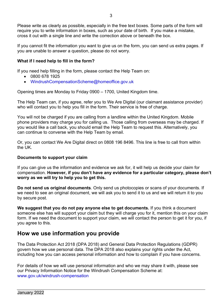Please write as clearly as possible, especially in the free text boxes. Some parts of the form will require you to write information in boxes, such as your date of birth. If you make a mistake, cross it out with a single line and write the correction above or beneath the box.

If you cannot fit the information you want to give us on the form, you can send us extra pages. If you are unable to answer a question, please do not worry.

# **What if I need help to fill in the form?**

If you need help filling in the form, please contact the Help Team on:

- 0800 678 1925
- [WindrushCompensationScheme@homeoffice.gov.uk](mailto:WindrushCompensationScheme@homeoffice.gov.uk)

Opening times are Monday to Friday 0900 – 1700, United Kingdom time.

The Help Team can, if you agree, refer you to We Are Digital (our claimant assistance provider) who will contact you to help you fill in the form. Their service is free of charge.

You will not be charged if you are calling from a landline within the United Kingdom. Mobile phone providers may charge you for calling us. Those calling from overseas may be charged. If you would like a call back, you should email the Help Team to request this. Alternatively, you can continue to converse with the Help Team by email.

Or, you can contact We Are Digital direct on 0808 196 8496. This line is free to call from within the UK.

# **Documents to support your claim**

<span id="page-3-0"></span>If you can give us the information and evidence we ask for, it will help us decide your claim for compensation. **However, if you don't have any evidence for a particular category, please don't worry as we will try to help you to get this.**

**Do not send us original documents**. Only send us photocopies or scans of your documents. If we need to see an original document, we will ask you to send it to us and we will return it to you by secure post.

**We suggest that you do not pay anyone else to get documents.** If you think a document someone else has will support your claim but they will charge you for it, mention this on your claim form. If we need the document to support your claim, we will contact the person to get it for you, if you agree to this.

# **How we use information you provide**

The Data Protection Act 2018 (DPA 2018) and General Data Protection Regulations (GDPR) govern how we use personal data. The DPA 2018 also explains your rights under the Act, including how you can access personal information and how to complain if you have concerns.

For details of how we will use personal information and who we may share it with, please see our Privacy Information Notice for the Windrush Compensation Scheme at: [www.gov.uk/windrush-compensation](http://www.gov.uk/windrush-compensation)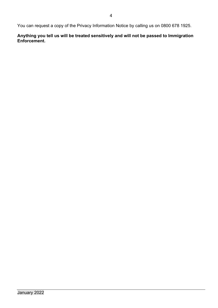You can request a copy of the Privacy Information Notice by calling us on 0800 678 1925.

<span id="page-4-0"></span>**Anything you tell us will be treated sensitively and will not be passed to Immigration Enforcement.**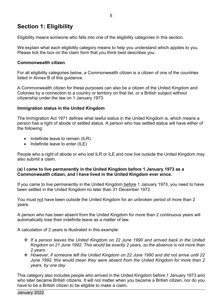# **Section 1: Eligibility**

Eligibility means someone who falls into one of the eligibility categories in this section.

We explain what each eligibility category means to help you understand which applies to you. Please tick the box on the claim form that you think best describes you.

# **Commonwealth citizen**

For all eligibility categories below, a Commonwealth citizen is a citizen of one of the countries listed in Annex B of this guidance.

A Commonwealth citizen for these purposes can also be a citizen of the United Kingdom and Colonies by a connection to a country or territory on that list, or a British subject without citizenship under the law on 1 January 1973.

# **Immigration status in the United Kingdom**

The Immigration Act 1971 defines what lawful status in the United Kingdom is, which means a person has a right of abode or settled status. A person who has settled status will have either of the following:

- Indefinite leave to remain (ILR)
- Indefinite leave to enter (ILE)

People who a right of abode or who lost ILR or ILE and now live outside the United Kingdom may also submit a claim.

# **(a) I came to live permanently in the United Kingdom before 1 January 1973 as a Commonwealth citizen, and I have lived in the United Kingdom ever since.**

If you came to live permanently in the United Kingdom before 1 January 1973, you need to have been settled in the United Kingdom no later than 31 December 1972.

You must not have been outside the United Kingdom for an unbroken period of more than 2 years.

A person who has been absent from the United Kingdom for more than 2 continuous years will automatically lose their indefinite leave as a matter of law.

A calculation of 2 years is illustrated in this example:

- *If a person leaves the United Kingdom on 22 June 1990 and arrived back in the United Kingdom on 21 June 1992. This would be exactly 2 years, so the absence is not more than 2 years*
- *However, if someone left the United Kingdom on 22 June 1990 and did not arrive until 22 June 1992, this would mean they were absent from the United Kingdom for more than 2 years, by one day*

This category also includes people who arrived in the United Kingdom before 1 January 1973 and who later became British citizens. It will not matter when you became a British citizen, nor do you have to be a British citizen to be eligible to make a claim.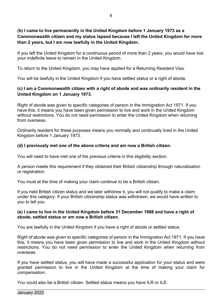# **(b) I came to live permanently in the United Kingdom before 1 January 1973 as a Commonwealth citizen and my status lapsed because I left the United Kingdom for more than 2 years, but I am now lawfully in the United Kingdom.**

If you left the United Kingdom for a continuous period of more than 2 years, you would have lost your indefinite leave to remain in the United Kingdom.

To return to the United Kingdom, you may have applied for a Returning Resident Visa.

You will be lawfully in the United Kingdom if you have settled status or a right of abode.

# **(c) I am a Commonwealth citizen with a right of abode and was ordinarily resident in the United Kingdom on 1 January 1973.**

Right of abode was given to specific categories of person in the Immigration Act 1971. If you have this, it means you have been given permission to live and work in the United Kingdom without restrictions. You do not need permission to enter the United Kingdom when returning from overseas.

Ordinarily resident for these purposes means you normally and continually lived in the United Kingdom before 1 January 1973.

# **(d) I previously met one of the above criteria and am now a British citizen.**

You will need to have met one of the previous criteria in this eligibility section.

A person meets this requirement if they obtained their British citizenship through naturalisation or registration.

You must at the time of making your claim continue to be a British citizen.

If you held British citizen status and we later withdrew it, you will not qualify to make a claim under this category. If your British citizenship status was withdrawn, we would have written to you to tell you.

# **(e) I came to live in the United Kingdom before 31 December 1988 and have a right of abode, settled status or am now a British citizen.**

You are lawfully in the United Kingdom if you have a right of abode or settled status.

Right of abode was given to specific categories of person in the Immigration Act 1971. If you have this, it means you have been given permission to live and work in the United Kingdom without restrictions. You do not need permission to enter the United Kingdom when returning from overseas.

If you have settled status, you will have made a successful application for your status and were granted permission to live in the United Kingdom at the time of making your claim for compensation.

You could also be a British citizen. Settled status means you have ILR or ILE.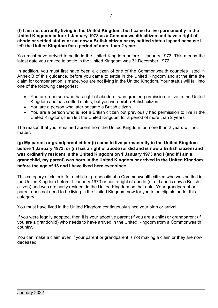# **(f) I am not currently living in the United Kingdom, but I came to live permanently in the United Kingdom before 1 January 1973 as a Commonwealth citizen and have a right of abode or settled status or am now a British citizen or my settled status lapsed because I left the United Kingdom for a period of more than 2 years.**

You must have arrived to settle in the United Kingdom before 1 January 1973. This means the latest date you arrived to settle in the United Kingdom was 31 December 1972.

In addition, you must first have been a citizen of one of the Commonwealth countries listed in Annex B of this guidance, before you came to settle in the United Kingdom and at the time the claim for compensation is made, you are not living in the United Kingdom. Your status will fall into one of the following categories:

- You are a person who has right of abode or was granted permission to live in the United Kingdom and has settled status, but you were **not** a British citizen
- You are a person who later became a British citizen
- You are a person who is **not** a British citizen but previously had permission to live in the United Kingdom, then left the United Kingdom for a period of more than 2 years

The reason that you remained absent from the United Kingdom for more than 2 years will not matter.

# **(g) My parent or grandparent either (i) came to live permanently in the United Kingdom before 1 January 1973, or (ii) has a right of abode (or did and is now a British citizen) and was ordinarily resident in the United Kingdom on 1 January 1973 and I (and if I am a grandchild, my parent) was born in the United Kingdom or arrived in the United Kingdom before the age of 18 and I have lived here ever since.**

This category of claim is for a child or grandchild of a Commonwealth citizen who was settled in the United Kingdom before 1 January 1973 or has a right of abode (or did and is now a British citizen) and was ordinarily resident in the United Kingdom on that date. Your grandparent or parent does not need to be living in the United Kingdom now for you to be eligible under this category.

You must have lived in the United Kingdom continuously since your birth or arrival.

If you were legally adopted, then it is your adoptive parent (if you are a child) or grandparent (if you are a grandchild) who needs to have arrived in the United Kingdom from a Commonwealth country.

You can make a claim even if your parent or grandparent is not making a claim or they are now deceased.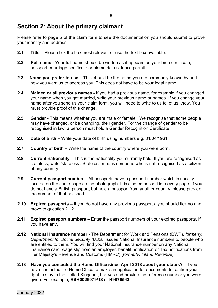# <span id="page-8-0"></span>**Section 2: About the primary claimant**

Please refer to page 5 of the claim form to see the documentation you should submit to prove your identity and address.

- **2.1 Title –** Please tick the box most relevant or use the text box available.
- **2.2 Full name -** Your full name should be written as it appears on your birth certificate, passport, marriage certificate or biometric residence permit.
- **2.3 Name you prefer to use –** This should be the name you are commonly known by and how you want us to address you. This does not have to be your legal name.
- **2.4 Maiden or all previous names -** If you had a previous name, for example if you changed your name when you got married, write your previous name or names. If you change your name after you send us your claim form, you will need to write to us to let us know. You must provide proof of this change.
- **2.5 Gender -** This means whether you are male or female. We recognise that some people may have changed, or be changing, their gender. For the change of gender to be recognised in law, a person must hold a Gender Recognition Certificate.
- **2.6 Date of birth –** Write your date of birth using numbers e.g. 01/04/1961.
- **2.7 Country of birth –** Write the name of the country where you were born.
- **2.8 Current nationality –** This is the nationality you currently hold. If you are recognised as stateless, write 'stateless'. Stateless means someone who is not recognised as a citizen of any country.
- **2.9 Current passport number –** All passports have a passport number which is usually located on the same page as the photograph. It is also embossed into every page. If you do not have a British passport, but hold a passport from another country, please provide the number of that passport.
- **2.10 Expired passports –** If you do not have any previous passports, you should tick no and move to question 2.12.
- **2.11 Expired passport numbers –** Enter the passport numbers of your expired passports, if you have any.
- **2.12 National Insurance number -** The Department for Work and Pensions (DWP), *formerly, Department for Social Security (DSS)*, issues National Insurance numbers to people who are entitled to them. You will find your National Insurance number on any National Insurance card, wage slip from an employer, benefit notification or Tax notifications from Her Majesty's Revenue and Customs (HMRC) (*formerly, Inland Revenue*)
- **2.13 Have you contacted the Home Office since April 2018 about your status?** If you have contacted the Home Office to make an application for documents to confirm your right to stay in the United Kingdom, tick yes and provide the reference number you were given. For example, **RSH0026079/18** or **H9876543.**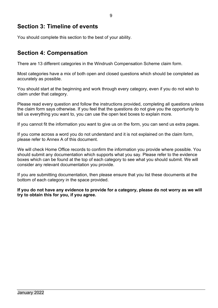# <span id="page-9-0"></span>**Section 3: Timeline of events**

You should complete this section to the best of your ability.

# <span id="page-9-1"></span>**Section 4: Compensation**

There are 13 different categories in the Windrush Compensation Scheme claim form.

Most categories have a mix of both open and closed questions which should be completed as accurately as possible.

You should start at the beginning and work through every category, even if you do not wish to claim under that category.

Please read every question and follow the instructions provided, completing all questions unless the claim form says otherwise. If you feel that the questions do not give you the opportunity to tell us everything you want to, you can use the open text boxes to explain more.

If you cannot fit the information you want to give us on the form, you can send us extra pages.

If you come across a word you do not understand and it is not explained on the claim form, please refer to Annex A of this document.

We will check Home Office records to confirm the information you provide where possible. You should submit any documentation which supports what you say. Please refer to the evidence boxes which can be found at the top of each category to see what you should submit. We will consider any relevant documentation you provide.

If you are submitting documentation, then please ensure that you list these documents at the bottom of each category in the space provided.

**If you do not have any evidence to provide for a category, please do not worry as we will try to obtain this for you, if you agree.**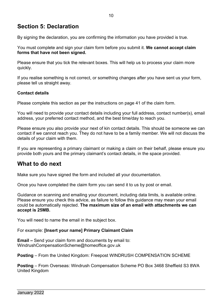# <span id="page-10-0"></span>**Section 5: Declaration**

By signing the declaration, you are confirming the information you have provided is true.

You must complete and sign your claim form before you submit it. **We cannot accept claim forms that have not been signed.**

Please ensure that you tick the relevant boxes. This will help us to process your claim more quickly.

If you realise something is not correct, or something changes after you have sent us your form, please tell us straight away.

# **Contact details**

Please complete this section as per the instructions on page 41 of the claim form.

You will need to provide your contact details including your full address, contact number(s), email address, your preferred contact method, and the best time/day to reach you.

Please ensure you also provide your next of kin contact details. This should be someone we can contact if we cannot reach you. They do not have to be a family member. We will not discuss the details of your claim with them.

If you are representing a primary claimant or making a claim on their behalf, please ensure you provide both yours and the primary claimant's contact details, in the space provided.

# <span id="page-10-1"></span>**What to do next**

Make sure you have signed the form and included all your documentation.

Once you have completed the claim form you can send it to us by post or email.

Guidance on scanning and emailing your document, including data limits, is available online. Please ensure you check this advice, as failure to follow this guidance may mean your email could be automatically rejected. **The maximum size of an email with attachments we can accept is 25MB.**

You will need to name the email in the subject box.

For example: **[Insert your name] Primary Claimant Claim**

**Email –** Send your claim form and documents by email to: WindrushCompensationScheme@homeoffice.gov.uk

**Posting** – From the United Kingdom: Freepost WINDRUSH COMPENSATION SCHEME

**Posting** – From Overseas: Windrush Compensation Scheme PO Box 3468 Sheffield S3 8WA United Kingdom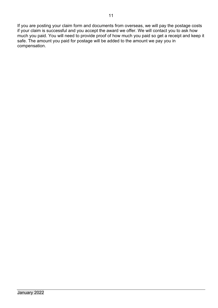If you are posting your claim form and documents from overseas, we will pay the postage costs if your claim is successful and you accept the award we offer. We will contact you to ask how much you paid. You will need to provide proof of how much you paid so get a receipt and keep it safe. The amount you paid for postage will be added to the amount we pay you in compensation.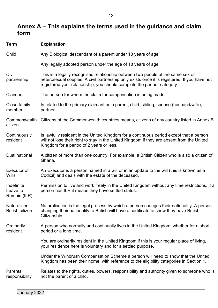# <span id="page-12-0"></span>**Annex A – This explains the terms used in the guidance and claim form**

| <b>Term</b>                            | <b>Explanation</b>                                                                                                                                                                                                                                         |
|----------------------------------------|------------------------------------------------------------------------------------------------------------------------------------------------------------------------------------------------------------------------------------------------------------|
| Child                                  | Any Biological descendant of a parent under 18 years of age.                                                                                                                                                                                               |
|                                        | Any legally adopted person under the age of 18 years of age                                                                                                                                                                                                |
| Civil<br>partnership                   | This is a legally recognised relationship between two people of the same sex or<br>heterosexual couples. A civil partnership only exists once it is registered. If you have not<br>registered your relationship, you should complete the partner category. |
| Claimant                               | The person for whom the claim for compensation is being made.                                                                                                                                                                                              |
| Close family<br>member                 | Is related to the primary claimant as a parent, child, sibling, spouse (husband/wife),<br>partner.                                                                                                                                                         |
| Commonwealth<br>citizen                | Citizens of the Commonwealth countries means, citizens of any country listed in Annex B.                                                                                                                                                                   |
| Continuously<br>resident               | Is lawfully resident in the United Kingdom for a continuous period except that a person<br>will not lose their right to stay in the United Kingdom if they are absent from the United<br>Kingdom for a period of 2 years or less.                          |
| Dual national                          | A citizen of more than one country. For example, a British Citizen who is also a citizen of<br>Ghana.                                                                                                                                                      |
| Executor of<br>Wills                   | An Executor is a person named in a will or in an update to the will (this is known as a<br>Codicil) and deals with the estate of the deceased.                                                                                                             |
| Indefinite<br>Leave to<br>Remain (ILR) | Permission to live and work freely in the United Kingdom without any time restrictions. If a<br>person has ILR it means they have settled status.                                                                                                          |
| Naturalised<br><b>British citizen</b>  | Naturalisation is the legal process by which a person changes their nationality. A person<br>changing their nationality to British will have a certificate to show they have British<br>Citizenship.                                                       |
| Ordinarily<br>resident                 | A person who normally and continually lives in the United Kingdom, whether for a short<br>period or a long time.                                                                                                                                           |
|                                        | You are ordinarily resident in the United Kingdom if this is your regular place of living,<br>your residence here is voluntary and for a settled purpose.                                                                                                  |
|                                        | Under the Windrush Compensation Scheme a person will need to show that the United<br>Kingdom has been their home, with reference to the eligibility categories in Section 1.                                                                               |
| Parental<br>responsibility             | Relates to the rights, duties, powers, responsibility and authority given to someone who is<br>not the parent of a child.                                                                                                                                  |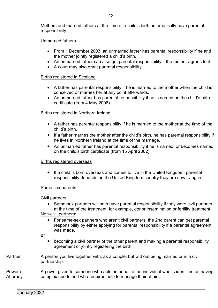Mothers and married fathers at the time of a child's birth automatically have parental responsibility.

### Unmarried fathers

- From 1 December 2003, an unmarried father has parental responsibility if he and the mother jointly registered a child's birth.
- An unmarried father can also get parental responsibility if the mother agrees to it.
- A court may also grant parental responsibility.

# Births registered in Scotland

- A father has parental responsibility if he is married to the mother when the child is conceived or marries her at any point afterwards.
- An unmarried father has parental responsibility if he is named on the child's birth certificate (from 4 May 2006).

# Births registered in Northern Ireland

- A father has parental responsibility if he is married to the mother at the time of the child's birth.
- If a father marries the mother after the child's birth, he has parental responsibility if he lives in Northern Ireland at the time of the marriage.
- An unmarried father has parental responsibility if he is named, or becomes named, on the child's birth certificate (from 15 April 2002).

### Births registered overseas

• If a child is born overseas and comes to live in the United Kingdom, parental responsibility depends on the United Kingdom country they are now living in.

### Same sex parents

### Civil partners:

- Same-sex partners will both have parental responsibility if they were civil partners at the time of the treatment, for example, donor insemination or fertility treatment. Non-civil partners:
	- For same-sex partners who aren't civil partners, the 2nd parent can get parental responsibility by either [applying for parental responsibility](https://www.gov.uk/parental-rights-responsibilities/apply-for-parental-responsibility) if a parental agreement was made.
- **or**
- becoming a civil partner of the other parent and making a parental responsibility agreement or jointly registering the birth.
- Partner A person you live together with, as a couple, but without being married or in a civil partnership.

### Power of **Attorney** A power given to someone who acts on behalf of an individual who is identified as having complex needs and who requires help to manage their affairs.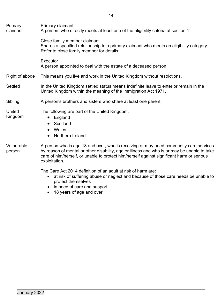| Primary<br>claimant  | Primary claimant<br>A person, who directly meets at least one of the eligibility criteria at section 1.                                                                                                                                                                                            |
|----------------------|----------------------------------------------------------------------------------------------------------------------------------------------------------------------------------------------------------------------------------------------------------------------------------------------------|
|                      | Close family member claimant<br>Shares a specified relationship to a primary claimant who meets an eligibility category.<br>Refer to close family member for details.                                                                                                                              |
|                      | Executor<br>A person appointed to deal with the estate of a deceased person.                                                                                                                                                                                                                       |
| Right of abode       | This means you live and work in the United Kingdom without restrictions.                                                                                                                                                                                                                           |
| <b>Settled</b>       | In the United Kingdom settled status means indefinite leave to enter or remain in the<br>United Kingdom within the meaning of the Immigration Act 1971.                                                                                                                                            |
| Sibling              | A person's brothers and sisters who share at least one parent.                                                                                                                                                                                                                                     |
| United<br>Kingdom    | The following are part of the United Kingdom:<br>England<br>$\bullet$<br>Scotland<br>Wales<br>Northern Ireland<br>$\bullet$                                                                                                                                                                        |
| Vulnerable<br>person | A person who is age 18 and over, who is receiving or may need community care services<br>by reason of mental or other disability, age or illness and who is or may be unable to take<br>care of him/herself, or unable to protect him/herself against significant harm or serious<br>exploitation. |
|                      | The Care Act 2014 definition of an adult at risk of harm are:                                                                                                                                                                                                                                      |

- at risk of suffering abuse or neglect and because of those care needs be unable to protect themselves
- in need of care and support
- 18 years of age and over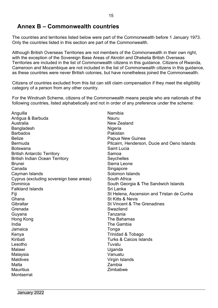# <span id="page-15-0"></span>**Annex B – Commonwealth countries**

The countries and territories listed below were part of the Commonwealth before 1 January 1973. Only the countries listed in this section are part of the Commonwealth.

Although British Overseas Territories are not members of the Commonwealth in their own right, with the exception of the Sovereign Base Areas of Akrotiri and Dhekelia British Overseas Territories are included in the list of Commonwealth citizens in this guidance. Citizens of Rwanda, Cameroon and Mozambique are not included in the list of Commonwealth citizens in this guidance, as these countries were never British colonies, but have nonetheless joined the Commonwealth.

Citizens of countries excluded from this list can still claim compensation if they meet the eligibility category of a person from any other country.

For the Windrush Scheme, citizens of the Commonwealth means people who are nationals of the following countries, listed alphabetically and not in order of any preference under the scheme:

Anguilla **Namibia** Antigua & Barbuda Nauru Australia New Zealand Bangladesh Nigeria Barbados **Pakistan** Belize **Belize Papua New Guinea** Botswana **Saint Lucia** Saint Lucia **British Antarctic Territory Samoa** British Indian Ocean Territory Seychelles Brunei Sierra Leone Canada Singapore Cayman Islands **Solomon** Islands Cayman Islands Cyprus (excluding sovereign base areas) South Africa Dominica **South Georgia & The Sandwich Islands** South Georgia & The Sandwich Islands Falkland Islands **Sri Lanka** Ghana **State Community** St Kitts & Nevis Gibraltar Communication Communication Communication St Vincent & The Grenadines Grenada **Swaziland** Guyana Tanzania Hong Kong **The Bahamas** India The Gambia Jamaica Tonga Kenya **Trinidad & Tobago** Kiribati Turks & Caicos Islands Lesotho Tuvalu Malawi Uganda Malaysia Vanuatu Malta Zambia Mauritius **Mauritius Mauritius** 2imbabwe **Montserrat** 

Bermuda **Pitcairn, Henderson, Ducie and Oeno Islands** Pitcairn, Henderson, Ducie and Oeno Islands Fiji St Helena, Ascension and Tristan de Cunha Virgin Islands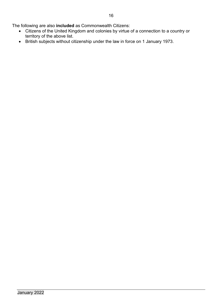The following are also **included** as Commonwealth Citizens:

- Citizens of the United Kingdom and colonies by virtue of a connection to a country or territory of the above list.
- British subjects without citizenship under the law in force on 1 January 1973.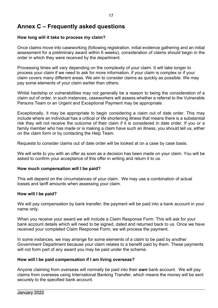# <span id="page-17-0"></span>**Annex C – Frequently asked questions**

# **How long will it take to process my claim?**

Once claims move into caseworking (following registration, initial evidence gathering and an initial assessment for a preliminary award within 6 weeks), consideration of claims should begin in the order in which they were received by the department.

Processing times will vary depending on the complexity of your claim. It will take longer to process your claim if we need to ask for more information, if your claim is complex or if your claim covers many different areas. We aim to consider claims as quickly as possible. We may pay some elements of your claim earlier than others.

Whilst hardship or vulnerabilities may not generally be a reason to being the consideration of a claim out of order, in such instances, caseworkers will assess whether a referral to the Vulnerable Persons Team or an Urgent and Exceptional Payment may be appropriate.

Exceptionally, it may be appropriate to begin considering a claim out of date order. This may include where an individual has a critical or life shortening illness that means there is a substantial risk they will not receive the outcome of their claim if it is considered in date order. If you or a family member who has made or is making a claim have such an illness, you should tell us, either on the claim form or by contacting the Help Team.

Requests to consider claims out of date order will be looked at on a case by case basis.

We will write to you with an offer as soon as a decision has been made on your claim. You will be asked to confirm your acceptance of this offer in writing and return it to us.

# **How much compensation will I be paid?**

This will depend on the circumstances of your claim. We may use a combination of actual losses and tariff amounts when assessing your claim.

# **How will I be paid?**

We will pay compensation by bank transfer; the payment will be paid into a bank account in your name only.

When you receive your award we will include a Claim Response Form. This will ask for your bank account details which will need to be signed, dated and returned back to us. Once we have received your completed Claim Response Form, we will process the payment.

In some instances, we may arrange for some elements of a claim to be paid by another Government Department because your claim relates to a benefit paid by them. These payments will not form part of any award you may be paid under the scheme.

# **How will I be paid compensation if I am living overseas?**

Anyone claiming from overseas will normally be paid into their **own** bank account. We will pay claims from overseas using International Banking Transfer, which means the money will be sent securely to the specified bank account.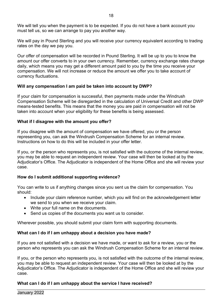We will tell you when the payment is to be expected. If you do not have a bank account you must tell us, so we can arrange to pay you another way.

We will pay in Pound Sterling and you will receive your currency equivalent according to trading rates on the day we pay you.

Our offer of compensation will be recorded in Pound Sterling. It will be up to you to know the amount our offer converts to in your own currency. Remember, currency exchange rates change daily, which means you may get a different amount paid to you by the time you receive your compensation. We will not increase or reduce the amount we offer you to take account of currency fluctuations.

# **Will any compensation I am paid be taken into account by DWP?**

If your claim for compensation is successful, then payments made under the Windrush Compensation Scheme will be disregarded in the calculation of Universal Credit and other DWP means-tested benefits. This means that the money you are paid in compensation will not be taken into account when your eligibility for these benefits is being assessed.

# **What if I disagree with the amount you offer?**

If you disagree with the amount of compensation we have offered, you or the person representing you, can ask the Windrush Compensation Scheme for an internal review. Instructions on how to do this will be included in your offer letter.

If you, or the person who represents you, is not satisfied with the outcome of the internal review, you may be able to request an independent review. Your case will then be looked at by the Adjudicator's Office. The Adjudicator is independent of the Home Office and she will review your case.

# **How do I submit additional supporting evidence?**

You can write to us if anything changes since you sent us the claim for compensation. You should:

- Include your claim reference number, which you will find on the acknowledgement letter we send to you when we receive your claim.
- Write your full name on the documents.
- Send us copies of the documents you want us to consider.

Wherever possible, you should submit your claim form with supporting documents.

# **What can I do if I am unhappy about a decision you have made?**

If you are not satisfied with a decision we have made, or want to ask for a review, you or the person who represents you can ask the Windrush Compensation Scheme for an internal review.

If you, or the person who represents you, is not satisfied with the outcome of the internal review, you may be able to request an independent review. Your case will then be looked at by the Adjudicator's Office. The Adjudicator is independent of the Home Office and she will review your case.

# **What can I do if I am unhappy about the service I have received?**